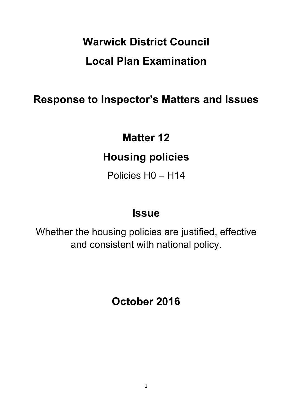# **Warwick District Council Local Plan Examination**

### **Response to Inspector's Matters and Issues**

## **Matter 12**

## **Housing policies**

Policies H0 – H14

### **Issue**

Whether the housing policies are justified, effective and consistent with national policy.

**October 2016**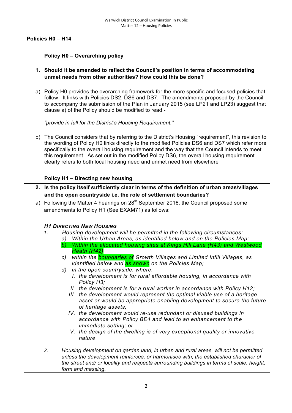#### **Policies H0 – H14**

#### **Policy H0 – Overarching policy**

- **1. Should it be amended to reflect the Council's position in terms of accommodating unmet needs from other authorities? How could this be done?**
- a) Policy H0 provides the overarching framework for the more specific and focused policies that follow. It links with Policies DS2, DS6 and DS7. The amendments proposed by the Council to accompany the submission of the Plan in January 2015 (see LP21 and LP23) suggest that clause a) of the Policy should be modified to read:-

*"provide in full for the District's Housing Requirement;"*

b) The Council considers that by referring to the District's Housing "requirement", this revision to the wording of Policy H0 links directly to the modified Policies DS6 and DS7 which refer more specifically to the overall housing requirement and the way that the Council intends to meet this requirement. As set out in the modified Policy DS6, the overall housing requirement clearly refers to both local housing need and unmet need from elsewhere

#### **Policy H1 – Directing new housing**

- **2. Is the policy itself sufficiently clear in terms of the definition of urban areas/villages and the open countryside i.e. the role of settlement boundaries?**
- a) Following the Matter 4 hearings on  $28<sup>th</sup>$  September 2016, the Council proposed some amendments to Policy H1 (See EXAM71) as follows:

#### *H1 DIRECTING NEW HOUSING*

- *1. Housing development will be permitted in the following circumstances: a) Within the Urban Areas, as identified below and on the Policies Map; b) Within the allocated housing sites at Kings Hill Lane (H43) and Westwood Heath (H42)* 
	- *c) within the boundaries of Growth Villages and Limited Infill Villages, as identified below and as shown on the Policies Map;*
	- *d) in the open countryside; where:*
		- *I. the development is for rural affordable housing, in accordance with Policy H3;*
		- *II. the development is for a rural worker in accordance with Policy H12;*
		- *III. the development would represent the optimal viable use of a heritage asset or would be appropriate enabling development to secure the future of heritage assets;*
		- *IV. the development would re-use redundant or disused buildings in accordance with Policy BE4 and lead to an enhancement to the immediate setting; or*
		- *V. the design of the dwelling is of very exceptional quality or innovative nature*
- *2. Housing development on garden land, in urban and rural areas, will not be permitted unless the development reinforces, or harmonises with, the established character of the street and/ or locality and respects surrounding buildings in terms of scale, height, form and massing.*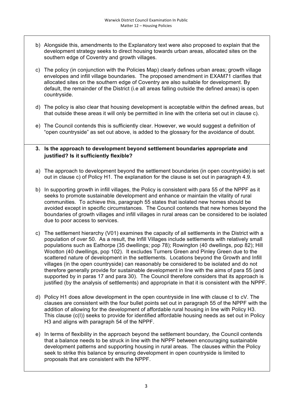- b) Alongside this, amendments to the Explanatory text were also proposed to explain that the development strategy seeks to direct housing towards urban areas, allocated sites on the southern edge of Coventry and growth villages.
- c) The policy (in conjunction with the Policies Map) clearly defines urban areas; growth village envelopes and infill village boundaries. The proposed amendment in EXAM71 clarifies that allocated sites on the southern edge of Coventry are also suitable for development. By default, the remainder of the District (i.e all areas falling outside the defined areas) is open countryside.
- d) The policy is also clear that housing development is acceptable within the defined areas, but that outside these areas it will only be permitted in line with the criteria set out in clause c).
- e) The Council contends this is sufficiently clear. However, we would suggest a definition of "open countryside" as set out above, is added to the glossary for the avoidance of doubt.

#### **3. Is the approach to development beyond settlement boundaries appropriate and justified? Is it sufficiently flexible?**

- a) The approach to development beyond the settlement boundaries (in open countryside) is set out in clause c) of Policy H1. The explanation for the clause is set out in paragraph 4.9.
- b) In supporting growth in infill villages, the Policy is consistent with para 55 of the NPPF as it seeks to promote sustainable development and enhance or maintain the vitality of rural communities. To achieve this, paragraph 55 states that isolated new homes should be avoided except in specific circumstances. The Council contends that new homes beyond the boundaries of growth villages and infill villages in rural areas can be considered to be isolated due to poor access to services.
- c) The settlement hierarchy (V01) examines the capacity of all settlements in the District with a population of over 50. As a result, the Infill Villages include settlements with relatively small populations such as Eathorpe (35 dwellings; pop 78); Rowington (40 dwellings, pop 82); Hill Wootton (40 dwellings, pop 102). It excludes Turners Green and Pinley Green due to the scattered nature of development in the settlements. Locations beyond the Growth and Infill villages (in the open countryside) can reasonably be considered to be isolated and do not therefore generally provide for sustainable development in line with the aims of para 55 (and supported by in paras 17 and para 30). The Council therefore considers that its approach is justified (by the analysis of settlements) and appropriate in that it is consistent with the NPPF.
- d) Policy H1 does allow development in the open countryside in line with clause cI to cV. The clauses are consistent with the four bullet points set out in paragraph 55 of the NPPF with the addition of allowing for the development of affordable rural housing in line with Policy H3. This clause (c(I)) seeks to provide for identified affordable housing needs as set out in Policy H3 and aligns with paragraph 54 of the NPPF.
- e) In terms of flexibility in the approach beyond the settlement boundary, the Council contends that a balance needs to be struck in line with the NPPF between encouraging sustainable development patterns and supporting housing in rural areas. The clauses within the Policy seek to strike this balance by ensuring development in open countryside is limited to proposals that are consistent with the NPPF.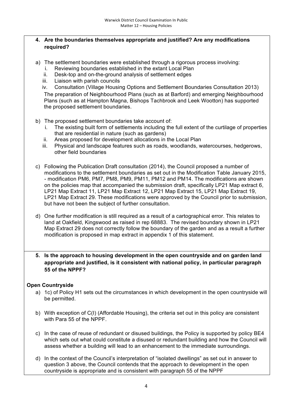#### **4. Are the boundaries themselves appropriate and justified? Are any modifications required?**

- a) The settlement boundaries were established through a rigorous process involving:
	- i. Reviewing boundaries established in the extant Local Plan
	- ii. Desk-top and on-the-ground analysis of settlement edges
	- iii. Liaison with parish councils
	- iv. Consultation (Village Housing Options and Settlement Boundaries Consultation 2013)

The preparation of Neighbourhood Plans (such as at Barford) and emerging Neighbourhood Plans (such as at Hampton Magna, Bishops Tachbrook and Leek Wootton) has supported the proposed settlement boundaries.

- b) The proposed settlement boundaries take account of:
	- i. The existing built form of settlements including the full extent of the curtilage of properties that are residential in nature (such as gardens)
	- ii. Areas proposed for development allocations in the Local Plan
	- iii. Physical and landscape features such as roads, woodlands, watercourses, hedgerows, other field boundaries
- c) Following the Publication Draft consultation (2014), the Council proposed a number of modifications to the settlement boundaries as set out in the Modification Table January 2015, - modification PM6, PM7, PM8, PM9, PM11, PM12 and PM14. The modifications are shown on the policies map that accompanied the submission draft, specifically LP21 Map extract 6, LP21 Map Extract 11, LP21 Map Extract 12, LP21 Map Extract 15, LP21 Map Extract 19, LP21 Map Extract 29. These modifications were approved by the Council prior to submission, but have not been the subject of further consultation.
- d) One further modification is still required as a result of a cartographical error. This relates to land at Oakfield, Kingswood as raised in rep 68883. The revised boundary shown in LP21 Map Extract 29 does not correctly follow the boundary of the garden and as a result a further modification is proposed in map extract in appendix 1 of this statement.
- **5. Is the approach to housing development in the open countryside and on garden land appropriate and justified, is it consistent with national policy, in particular paragraph 55 of the NPPF?**

#### **Open Countryside**

- a) 1c) of Policy H1 sets out the circumstances in which development in the open countryside will be permitted.
- b) With exception of C(I) (Affordable Housing), the criteria set out in this policy are consistent with Para 55 of the NPPF.
- c) In the case of reuse of redundant or disused buildings, the Policy is supported by policy BE4 which sets out what could constitute a disused or redundant building and how the Council will assess whether a building will lead to an enhancement to the immediate surroundings.
- d) In the context of the Council's interpretation of "isolated dwellings" as set out in answer to question 3 above, the Council contends that the approach to development in the open countryside is appropriate and is consistent with paragraph 55 of the NPPF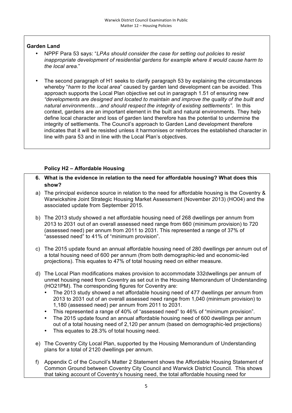#### **Garden Land**

- NPPF Para 53 says: "*LPAs should consider the case for setting out policies to resist inappropriate development of residential gardens for example where it would cause harm to the local area*."
- The second paragraph of H1 seeks to clarify paragraph 53 by explaining the circumstances whereby "*harm to the local area*" caused by garden land development can be avoided. This approach supports the Local Plan objective set out in paragraph 1.51 of ensuring new *"developments are designed and located to maintain and improve the quality of the built and natural environments…and should respect the integrity of existing settlements".* In this context, gardens are an important element in the built and natural environments. They help define local character and loss of garden land therefore has the potential to undermine the integrity of settlements. The Council's approach to Garden Land development therefore indicates that it will be resisted unless it harmonises or reinforces the established character in line with para 53 and in line with the Local Plan's objectives.

#### **Policy H2 – Affordable Housing**

- **6. What is the evidence in relation to the need for affordable housing? What does this show?**
- a) The principal evidence source in relation to the need for affordable housing is the Coventry & Warwickshire Joint Strategic Housing Market Assessment (November 2013) (HO04) and the associated update from September 2015.
- b) The 2013 study showed a net affordable housing need of 268 dwellings per annum from 2013 to 2031 out of an overall assessed need range from 660 (minimum provision) to 720 (assessed need) per annum from 2011 to 2031. This represented a range of 37% of "assessed need" to 41% of "minimum provision".
- c) The 2015 update found an annual affordable housing need of 280 dwellings per annum out of a total housing need of 600 per annum (from both demographic-led and economic-led projections). This equates to 47% of total housing need on either measure.
- d) The Local Plan modifications makes provision to accommodate 332dwellings per annum of unmet housing need from Coventry as set out in the Housing Memorandum of Understanding (HO21PM). The corresponding figures for Coventry are:
	- The 2013 study showed a net affordable housing need of 477 dwellings per annum from 2013 to 2031 out of an overall assessed need range from 1,040 (minimum provision) to 1,180 (assessed need) per annum from 2011 to 2031.
	- This represented a range of 40% of "assessed need" to 46% of "minimum provision".
	- The 2015 update found an annual affordable housing need of 600 dwellings per annum out of a total housing need of 2,120 per annum (based on demographic-led projections)
	- This equates to 28.3% of total housing need.
- e) The Coventry City Local Plan, supported by the Housing Memorandum of Understanding plans for a total of 2120 dwellings per annum.
- f) Appendix C of the Council's Matter 2 Statement shows the Affordable Housing Statement of Common Ground between Coventry City Council and Warwick District Council. This shows that taking account of Coventry's housing need, the total affordable housing need for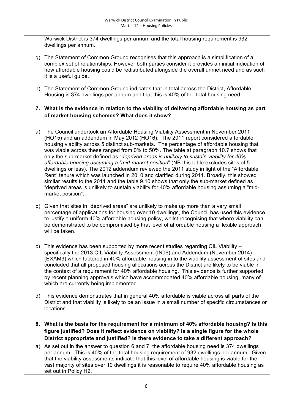Warwick District is 374 dwellings per annum and the total housing requirement is 932 dwellings per annum.

- g) The Statement of Common Ground recognises that this approach is a simplification of a complex set of relationships. However both parties consider it provides an initial indication of how affordable housing could be redistributed alongside the overall unmet need and as such it is a useful guide.
- h) The Statement of Common Ground indicates that in total across the District, Affordable Housing is 374 dwellings per annum and that this is 40% of the total housing need.
- **7. What is the evidence in relation to the viability of delivering affordable housing as part of market housing schemes? What does it show?**
- a) The Council undertook an Affordable Housing Viability Assessment in November 2011 (HO15) and an addendum in May 2012 (HO16). The 2011 report considered affordable housing viability across 5 distinct sub-markets. The percentage of affordable housing that was viable across these ranged from 0% to 50%. The table at paragraph 10.7 shows that only the sub-market defined as "*deprived areas is unlikely to sustain viability for 40% affordable housing assuming a "mid-market position*" (NB this table excludes sites of 5 dwellings or less). The 2012 addendum reviewed the 2011 study in light of the "Affordable Rent" tenure which was launched in 2010 and clarified during 2011. Broadly, this showed similar results to the 2011 and the table 9.10 shows that only the sub-market defined as "deprived areas is unlikely to sustain viability for 40% affordable housing assuming a "midmarket position".
- b) Given that sites in "deprived areas" are unlikely to make up more than a very small percentage of applications for housing over 10 dwellings, the Council has used this evidence to justify a uniform 40% affordable housing policy, whilst recognising that where viability can be demonstrated to be compromised by that level of affordable housing a flexible approach will be taken.
- c) This evidence has been supported by more recent studies regarding CIL Viability specifically the 2013 CIL Viability Assessment (IN06) and Addendum (November 2014) (EXAM3) which factored in 40% affordable housing in to the viability assessment of sites and concluded that all proposed housing allocations across the District are likely to be viable in the context of a requirement for 40% affordable housing. This evidence is further supported by recent planning approvals which have accommodated 40% affordable housing, many of which are currently being implemented.
- d) This evidence demonstrates that in general 40% affordable is viable across all parts of the District and that viability is likely to be an issue in a small number of specific circumstances or locations.
- **8. What is the basis for the requirement for a minimum of 40% affordable housing? Is this figure justified? Does it reflect evidence on viability? Is a single figure for the whole District appropriate and justified? Is there evidence to take a different approach?**
- a) As set out in the answer to question 6 and 7, the affordable housing need is 374 dwellings per annum. This is 40% of the total housing requirement of 932 dwellings per annum. Given that the viability assessments indicate that this level of affordable housing is viable for the vast majority of sites over 10 dwellings it is reasonable to require 40% affordable housing as set out in Policy H2.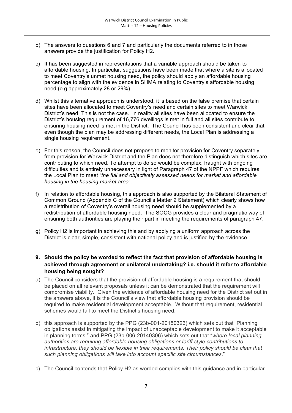- b) The answers to questions 6 and 7 and particularly the documents referred to in those answers provide the justification for Policy H2.
- c) It has been suggested in representations that a variable approach should be taken to affordable housing. In particular, suggestions have been made that where a site is allocated to meet Coventry's unmet housing need, the policy should apply an affordable housing percentage to align with the evidence in SHMA relating to Coventry's affordable housing need (e.g approximately 28 or 29%).
- d) Whilst this alternative approach is understood, it is based on the false premise that certain sites have been allocated to meet Coventry's need and certain sites to meet Warwick District's need. This is not the case. In reality all sites have been allocated to ensure the District's housing requirement of 16,776 dwellings is met in full and all sites contribute to ensuring housing need is met in the District. The Council has been consistent and clear that even though the plan may be addressing different needs, the Local Plan is addressing a single housing requirement.
- e) For this reason, the Council does not propose to monitor provision for Coventry separately from provision for Warwick District and the Plan does not therefore distinguish which sites are contributing to which need. To attempt to do so would be complex, fraught with ongoing difficulties and is entirely unnecessary in light of Paragraph 47 of the NPPF which requires the Local Plan to meet "*the full and objectively assessed needs for market and affordable housing in the housing market area*".
- f) In relation to affordable housing, this approach is also supported by the Bilateral Statement of Common Ground (Appendix C of the Council's Matter 2 Statement) which clearly shows how a redistribution of Coventry's overall housing need should be supplemented by a redistribution of affordable housing need. The SOCG provides a clear and pragmatic way of ensuring both authorities are playing their part in meeting the requirements of paragraph 47.
- g) Policy H2 is important in achieving this and by applying a uniform approach across the District is clear, simple, consistent with national policy and is justified by the evidence.

**9. Should the policy be worded to reflect the fact that provision of affordable housing is achieved through agreement or unilateral undertaking? i.e. should it refer to affordable housing being sought?**

- a) The Council considers that the provision of affordable housing is a requirement that should be placed on all relevant proposals unless it can be demonstrated that the requirement will compromise viability. Given the evidence of affordable housing need for the District set out in the answers above, it is the Council's view that affordable housing provision should be required to make residential development acceptable. Without that requirement, residential schemes would fail to meet the District's housing need.
- b) this approach is supported by the PPG (23b-001-20150326) which sets out that Planning obligations assist in mitigating the impact of unacceptable development to make it acceptable in planning terms." and PPG (23b-006-20140306) which sets out that "*where local planning authorities are requiring affordable housing obligations or tariff style contributions to infrastructure, they should be flexible in their requirements. Their policy should be clear that such planning obligations will take into account specific site circumstances*."
- c) The Council contends that Policy H2 as worded complies with this guidance and in particular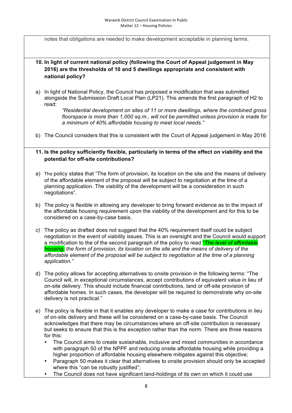notes that obligations are needed to make development acceptable in planning terms.

#### **10. In light of current national policy (following the Court of Appeal judgement in May 2016) are the thresholds of 10 and 5 dwellings appropriate and consistent with national policy?**

a) In light of National Policy, the Council has proposed a modification that was submitted alongside the Submission Draft Local Plan (LP21). This amends the first paragraph of H2 to read:

> *"Residential development on sites of 11 or more dwellings, where the combined gross floorspace is more than 1,000 sq.m., will not be permitted unless provision is made for a minimum of 40% affordable housing to meet local needs."*

b) The Council considers that this is consistent with the Court of Appeal judgement in May 2016

#### **11. Is the policy sufficiently flexible, particularly in terms of the effect on viability and the potential for off-site contributions?**

- a) The policy states that "The form of provision, its location on the site and the means of delivery of the affordable element of the proposal will be subject to negotiation at the time of a planning application. The viability of the development will be a consideration in such negotiations".
- b) The policy is flexible in allowing any developer to bring forward evidence as to the impact of the affordable housing requirement upon the viability of the development and for this to be considered on a case-by-case basis.
- *c)* The policy as drafted does not suggest that the 40% requirement itself could be subject negotiation in the event of viability issues. This is an oversight and the Council would support a modification to the of the second paragraph of the policy to read "*The level of affordable housing, the form of provision, its location on the site and the means of delivery of the affordable element of the proposal will be subject to negotiation at the time of a planning application."*
- d) The policy allows for accepting alternatives to onsite provision in the following terms: "The Council will, in exceptional circumstances, accept contributions of equivalent value in lieu of on-site delivery. This should include financial contributions, land or off-site provision of affordable homes. In such cases, the developer will be required to demonstrate why on-site delivery is not practical."
- e) The policy is flexible in that it enables any developer to make a case for contributions in lieu of on-site delivery and these will be considered on a case-by-case basis. The Council acknowledges that there may be circumstances where an off-site contribution is necessary but seeks to ensure that this is the exception rather than the norm. There are three reasons for this:
	- The Council aims to create sustainable, inclusive and mixed communities in accordance with paragraph 50 of the NPPF and reducing onsite affordable housing while providing a higher proportion of affordable housing elsewhere mitigates against this objective;
	- Paragraph 50 makes it clear that alternatives to onsite provision should only be accepted where this "can be robustly justified";
	- The Council does not have significant land-holdings of its own on which it could use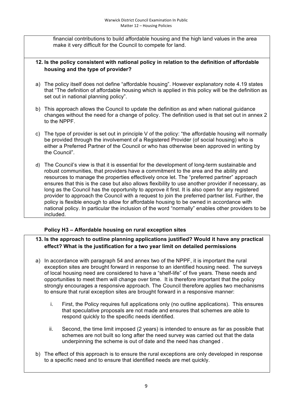financial contributions to build affordable housing and the high land values in the area make it very difficult for the Council to compete for land.

#### **12. Is the policy consistent with national policy in relation to the definition of affordable housing and the type of provider?**

- a) The policy itself does not define "affordable housing". However explanatory note 4.19 states that "The definition of affordable housing which is applied in this policy will be the definition as set out in national planning policy".
- b) This approach allows the Council to update the definition as and when national guidance changes without the need for a change of policy. The definition used is that set out in annex 2 to the NPPF.
- c) The type of provider is set out in principle V of the policy: "the affordable housing will normally be provided through the involvement of a Registered Provider (of social housing) who is either a Preferred Partner of the Council or who has otherwise been approved in writing by the Council".
- d) The Council's view is that it is essential for the development of long-term sustainable and robust communities, that providers have a commitment to the area and the ability and resources to manage the properties effectively once let. The "preferred partner" approach ensures that this is the case but also allows flexibility to use another provider if necessary, as long as the Council has the opportunity to approve it first. It is also open for any registered provider to approach the Council with a request to join the preferred partner list. Further, the policy is flexible enough to allow for affordable housing to be owned in accordance with national policy. In particular the inclusion of the word "normally" enables other providers to be included.

#### **Policy H3 – Affordable housing on rural exception sites**

#### **13. Is the approach to outline planning applications justified? Would it have any practical effect? What is the justification for a two year limit on detailed permissions**

- a) In accordance with paragraph 54 and annex two of the NPPF, it is important the rural exception sites are brought forward in response to an identified housing need. The surveys of local housing need are considered to have a "shelf-life" of five years. These needs and opportunities to meet them will change over time. It is therefore important that the policy strongly encourages a responsive approach. The Council therefore applies two mechanisms to ensure that rural exception sites are brought forward in a responsive manner:
	- i. First, the Policy requires full applications only (no outline applications). This ensures that speculative proposals are not made and ensures that schemes are able to respond quickly to the specific needs identified.
	- ii. Second, the time limit imposed (2 years) is intended to ensure as far as possible that schemes are not built so long after the need survey was carried out that the data underpinning the scheme is out of date and the need has changed .
- b) The effect of this approach is to ensure the rural exceptions are only developed in response to a specific need and to ensure that identified needs are met quickly.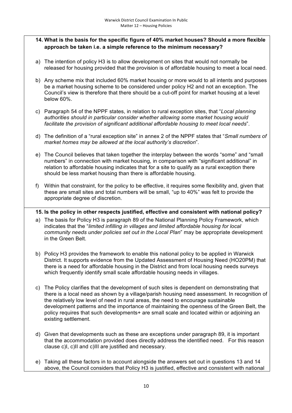#### **14. What is the basis for the specific figure of 40% market houses? Should a more flexible approach be taken i.e. a simple reference to the minimum necessary?**

- a) The intention of policy H3 is to allow development on sites that would not normally be released for housing provided that the provision is of affordable housing to meet a local need.
- b) Any scheme mix that included 60% market housing or more would to all intents and purposes be a market housing scheme to be considered under policy H2 and not an exception. The Council's view is therefore that there should be a cut-off point for market housing at a level below 60%.
- c) Paragraph 54 of the NPPF states, in relation to rural exception sites, that "*Local planning authorities should in particular consider whether allowing some market housing would facilitate the provision of significant additional affordable housing to meet local needs*".
- d) The definition of a "rural exception site" in annex 2 of the NPPF states that "*Small numbers of market homes may be allowed at the local authority's discretion*".
- e) The Council believes that taken together the interplay between the words "some" and "small numbers" in connection with market housing, in comparison with "significant additional" in relation to affordable housing indicates that for a site to qualify as a rural exception there should be less market housing than there is affordable housing.
- f) Within that constraint, for the policy to be effective, it requires some flexibility and, given that these are small sites and total numbers will be small, "up to 40%" was felt to provide the appropriate degree of discretion.

#### **15. Is the policy in other respects justified, effective and consistent with national policy?**

- a) The basis for Policy H3 is paragraph 89 of the National Planning Policy Framework, which indicates that the "*limited infilling in villages and limited affordable housing for local community needs under policies set out in the Local Plan*" may be appropriate development in the Green Belt.
- b) Policy H3 provides the framework to enable this national policy to be applied in Warwick District. It supports evidence from the Updated Assessment of Housing Need (HO20PM) that there is a need for affordable housing in the District and from local housing needs surveys which frequently identify small scale affordable housing needs in villages.
- c) The Policy clarifies that the development of such sites is dependent on demonstrating that there is a local need as shown by a village/parish housing need assessment. In recognition of the relatively low level of need in rural areas, the need to encourage sustainable development patterns and the importance of maintaining the openness of the Green Belt, the policy requires that such developments+ are small scale and located within or adjoining an existing settlement.
- d) Given that developments such as these are exceptions under paragraph 89, it is important that the accommodation provided does directly address the identified need. For this reason clause c)I, c)II and c)III are justified and necessary.
- e) Taking all these factors in to account alongside the answers set out in questions 13 and 14 above, the Council considers that Policy H3 is justified, effective and consistent with national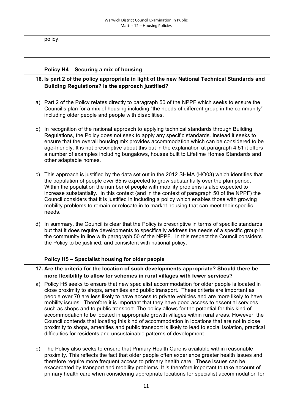policy.

#### **Policy H4 – Securing a mix of housing**

- **16. Is part 2 of the policy appropriate in light of the new National Technical Standards and Building Regulations? Is the approach justified?**
- a) Part 2 of the Policy relates directly to paragraph 50 of the NPPF which seeks to ensure the Council's plan for a mix of housing including "the needs of different group in the community" including older people and people with disabilities.
- b) In recognition of the national approach to applying technical standards through Building Regulations, the Policy does not seek to apply any specific standards. Instead it seeks to ensure that the overall housing mix provides accommodation which can be considered to be age-friendly. It is not prescriptive about this but in the explanation at paragraph 4.51 it offers a number of examples including bungalows, houses built to Lifetime Homes Standards and other adaptable homes.
- c) This approach is justified by the data set out in the 2012 SHMA (HO03) which identifies that the population of people over 65 is expected to grow substantially over the plan period. Within the population the number of people with mobility problems is also expected to increase substantially. In this context (and in the context of paragraph 50 of the NPPF) the Council considers that it is justified in including a policy which enables those with growing mobility problems to remain or relocate in to market housing that can meet their specific needs.
- d) In summary, the Council is clear that the Policy is prescriptive in terms of specific standards but that it does require developments to specifically address the needs of a specific group in the community in line with paragraph 50 of the NPPF. In this respect the Council considers the Policy to be justified, and consistent with national policy.

#### **Policy H5 – Specialist housing for older people**

#### **17. Are the criteria for the location of such developments appropriate? Should there be more flexibility to allow for schemes in rural villages with fewer services?**

- a) Policy H5 seeks to ensure that new specialist accommodation for older people is located in close proximity to shops, amenities and public transport. These criteria are important as people over 70 are less likely to have access to private vehicles and are more likely to have mobility issues. Therefore it is important that they have good access to essential services such as shops and to public transport. The policy allows for the potential for this kind of accommodation to be located in appropriate growth villages within rural areas. However, the Council contends that locating this kind of accommodation in locations that are not in close proximity to shops, amenities and public transport is likely to lead to social isolation, practical difficulties for residents and unsustainable patterns of development.
- b) The Policy also seeks to ensure that Primary Health Care is available within reasonable proximity. This reflects the fact that older people often experience greater health issues and therefore require more frequent access to primary health care. These issues can be exacerbated by transport and mobility problems. It is therefore important to take account of primary health care when considering appropriate locations for specialist accommodation for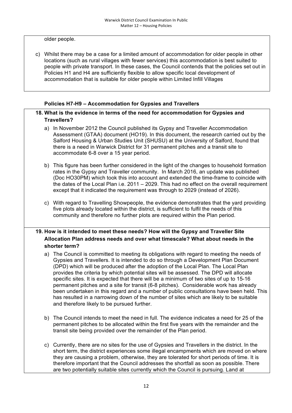older people.

c) Whilst there may be a case for a limited amount of accommodation for older people in other locations (such as rural villages with fewer services) this accommodation is best suited to people with private transport. In these cases, the Council contends that the policies set out in Policies H1 and H4 are sufficiently flexible to allow specific local development of accommodation that is suitable for older people within Limited Infill Villages

#### **Policies H7-H9 – Accommodation for Gypsies and Travellers**

#### **18. What is the evidence in terms of the need for accommodation for Gypsies and Travellers?**

- a) In November 2012 the Council published its Gypsy and Traveller Accommodation Assessment (GTAA) document (HO19). In this document, the research carried out by the Salford Housing & Urban Studies Unit (SHUSU) at the University of Salford, found that there is a need in Warwick District for 31 permanent pitches and a transit site to accommodate 6-8 over a 15 year period.
- b) This figure has been further considered in the light of the changes to household formation rates in the Gypsy and Traveller community. In March 2016, an update was published (Doc HO30PM) which took this into account and extended the time-frame to coincide with the dates of the Local Plan i.e. 2011 – 2029. This had no effect on the overall requirement except that it indicated the requirement was through to 2029 (instead of 2026).
- c) With regard to Travelling Showpeople, the evidence demonstrates that the yard providing five plots already located within the district, is sufficient to fulfil the needs of this community and therefore no further plots are required within the Plan period.

#### **19. How is it intended to meet these needs? How will the Gypsy and Traveller Site Allocation Plan address needs and over what timescale? What about needs in the shorter term?**

- a) The Council is committed to meeting its obligations with regard to meeting the needs of Gypsies and Travellers. It is intended to do so through a Development Plan Document (DPD) which will be produced after the adoption of the Local Plan. The Local Plan provides the criteria by which potential sites will be assessed. The DPD will allocate specific sites. It is expected that there will be a minimum of two sites of up to 15-16 permanent pitches and a site for transit (6-8 pitches). Considerable work has already been undertaken in this regard and a number of public consultations have been held. This has resulted in a narrowing down of the number of sites which are likely to be suitable and therefore likely to be pursued further.
- b) The Council intends to meet the need in full. The evidence indicates a need for 25 of the permanent pitches to be allocated within the first five years with the remainder and the transit site being provided over the remainder of the Plan period.
- c) Currently, there are no sites for the use of Gypsies and Travellers in the district. In the short term, the district experiences some illegal encampments which are moved on where they are causing a problem, otherwise, they are tolerated for short periods of time. It is therefore important that the Council addresses the shortfall as soon as possible. There are two potentially suitable sites currently which the Council is pursuing. Land at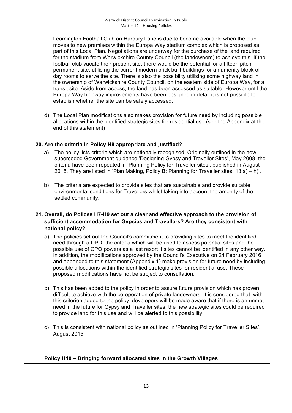Leamington Football Club on Harbury Lane is due to become available when the club moves to new premises within the Europa Way stadium complex which is proposed as part of this Local Plan. Negotiations are underway for the purchase of the land required for the stadium from Warwickshire County Council (the landowners) to achieve this. If the football club vacate their present site, there would be the potential for a fifteen pitch permanent site, utilising the current modern brick built buildings for an amenity block of day rooms to serve the site. There is also the possibility utilising some highway land in the ownership of Warwickshire County Council, on the eastern side of Europa Way, for a transit site. Aside from access, the land has been assessed as suitable. However until the Europa Way highway improvements have been designed in detail it is not possible to establish whether the site can be safely accessed.

d) The Local Plan modifications also makes provision for future need by including possible allocations within the identified strategic sites for residential use (see the Appendix at the end of this statement)

#### **20. Are the criteria in Policy H8 appropriate and justified?**

- a) The policy lists criteria which are nationally recognised. Originally outlined in the now superseded Government guidance 'Designing Gypsy and Traveller Sites', May 2008, the criteria have been repeated in 'Planning Policy for Traveller sites', published in August 2015. They are listed in 'Plan Making, Policy B: Planning for Traveller sites, 13 a) – h)'.
- b) The criteria are expected to provide sites that are sustainable and provide suitable environmental conditions for Travellers whilst taking into account the amenity of the settled community.

#### **21. Overall, do Polices H7-H9 set out a clear and effective approach to the provision of sufficient accommodation for Gypsies and Travellers? Are they consistent with national policy?**

- a) The policies set out the Council's commitment to providing sites to meet the identified need through a DPD, the criteria which will be used to assess potential sites and the possible use of CPO powers as a last resort if sites cannot be identified in any other way. In addition, the modifications approved by the Council's Executive on 24 February 2016 and appended to this statement (Appendix 1) make provision for future need by including possible allocations within the identified strategic sites for residential use. These proposed modifications have not be subject to consultation.
- b) This has been added to the policy in order to assure future provision which has proven difficult to achieve with the co-operation of private landowners. It is considered that, with this criterion added to the policy, developers will be made aware that if there is an unmet need in the future for Gypsy and Traveller sites, the new strategic sites could be required to provide land for this use and will be alerted to this possibility.
- c) This is consistent with national policy as outlined in 'Planning Policy for Traveller Sites', August 2015.

### **Policy H10 – Bringing forward allocated sites in the Growth Villages**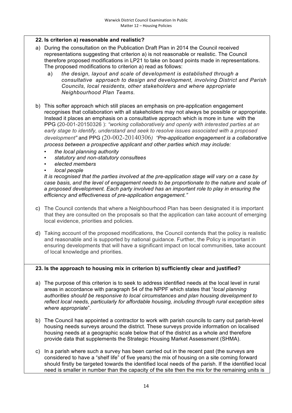#### **22. Is criterion a) reasonable and realistic?**

- a) During the consultation on the Publication Draft Plan in 2014 the Council received representations suggesting that criterion a) is not reasonable or realistic. The Council therefore proposed modifications in LP21 to take on board points made in representations. The proposed modifications to criterion a) read as follows:
	- a) *the design, layout and scale of development is established through a consultative approach to design and development, involving District and Parish Councils, local residents, other stakeholders and where appropriate Neighbourhood Plan Teams.*
- b) This softer approach which still places an emphasis on pre-application engagement recognises that collaboration with all stakeholders may not always be possible or appropriate. Instead it places an emphasis on a consultative approach which is more in tune with the PPG (20-001-20150326 ): *"working collaboratively and openly with interested parties at an early stage to identify, understand and seek to resolve issues associated with a proposed development"* and PPG (20-002-20140306*) "Pre-application engagement is a collaborative process between a prospective applicant and other parties which may include:*
	- *the local planning authority*
	- *statutory and non-statutory consultees*
	- *elected members*
	- *local people*

*It is recognised that the parties involved at the pre-application stage will vary on a case by case basis, and the level of engagement needs to be proportionate to the nature and scale of a proposed development. Each party involved has an important role to play in ensuring the efficiency and effectiveness of pre-application engagement."*

- c) The Council contends that where a Neighbourhood Plan has been designated it is important that they are consulted on the proposals so that the application can take account of emerging local evidence, priorities and policies.
- d) Taking account of the proposed modifications, the Council contends that the policy is realistic and reasonable and is supported by national guidance. Further, the Policy is important in ensuring developments that will have a significant impact on local communities, take account of local knowledge and priorities.

#### **23. Is the approach to housing mix in criterion b) sufficiently clear and justified?**

- a) The purpose of this criterion is to seek to address identified needs at the local level in rural areas in accordance with paragraph 54 of the NPPF which states that "*local planning authorities should be responsive to local circumstances and plan housing development to reflect local needs, particularly for affordable housing, including through rural exception sites where appropriate*".
- b) The Council has appointed a contractor to work with parish councils to carry out parish-level housing needs surveys around the district. These surveys provide information on localised housing needs at a geographic scale below that of the district as a whole and therefore provide data that supplements the Strategic Housing Market Assessment (SHMA).
- c) In a parish where such a survey has been carried out in the recent past (the surveys are considered to have a "shelf life" of five years) the mix of housing on a site coming forward should firstly be targeted towards the identified local needs of the parish. If the identified local need is smaller in number than the capacity of the site then the mix for the remaining units is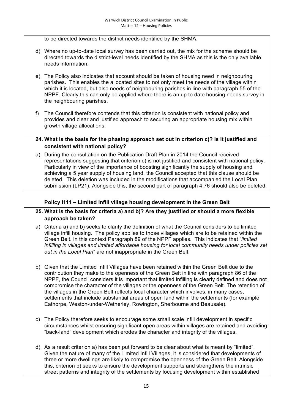to be directed towards the district needs identified by the SHMA.

- d) Where no up-to-date local survey has been carried out, the mix for the scheme should be directed towards the district-level needs identified by the SHMA as this is the only available needs information.
- e) The Policy also indicates that account should be taken of housing need in neighbouring parishes. This enables the allocated sites to not only meet the needs of the village within which it is located, but also needs of neighbouring parishes in line with paragraph 55 of the NPPF. Clearly this can only be applied where there is an up to date housing needs survey in the neighbouring parishes.
- f) The Council therefore contends that this criterion is consistent with national policy and provides and clear and justified approach to securing an appropriate housing mix within growth village allocations.

#### **24. What is the basis for the phasing approach set out in criterion c)? Is it justified and consistent with national policy?**

a) During the consultation on the Publication Draft Plan in 2014 the Council received representations suggesting that criterion c) is not justified and consistent with national policy. Particularly in view of the importance of boosting significantly the supply of housing and achieving a 5 year supply of housing land, the Council accepted that this clause should be deleted. This deletion was included in the modifications that accompanied the Local Plan submission (LP21). Alongside this, the second part of paragraph 4.76 should also be deleted.

#### **Policy H11 – Limited infill village housing development in the Green Belt**

- **25. What is the basis for criteria a) and b)? Are they justified or should a more flexible approach be taken?**
- a) Criteria a) and b) seeks to clarify the definition of what the Council considers to be limited village infill housing. The policy applies to those villages which are to be retained within the Green Belt. In this context Paragraph 89 of the NPPF applies. This indicates that "*limited infilling in villages and limited affordable housing for local community needs under policies set out in the Local Plan*" are not inappropriate in the Green Belt.
- b) Given that the Limited Infill Villages have been retained within the Green Belt due to the contribution they make to the openness of the Green Belt in line with paragraph 86 of the NPPF, the Council considers it is important that limited infilling is clearly defined and does not compromise the character of the villages or the openness of the Green Belt. The retention of the villages in the Green Belt reflects local character which involves, in many cases, settlements that include substantial areas of open land within the settlements (for example Eathorpe, Weston-under-Wetherley, Rowington, Sherbourne and Beausale).
- c) The Policy therefore seeks to encourage some small scale infill development in specific circumstances whilst ensuring significant open areas within villages are retained and avoiding "back-land" development which erodes the character and integrity of the villages.
- d) As a result criterion a) has been put forward to be clear about what is meant by "limited". Given the nature of many of the Limited Infill Villages, it is considered that developments of three or more dwellings are likely to compromise the openness of the Green Belt. Alongside this, criterion b) seeks to ensure the development supports and strengthens the intrinsic street patterns and integrity of the settlements by focusing development within established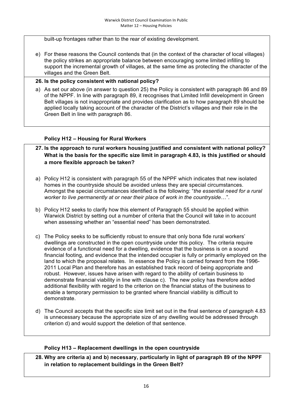built-up frontages rather than to the rear of existing development.

e) For these reasons the Council contends that (in the context of the character of local villages) the policy strikes an appropriate balance between encouraging some limited infilling to support the incremental growth of villages, at the same time as protecting the character of the villages and the Green Belt.

#### **26. Is the policy consistent with national policy?**

a) As set our above (in answer to question 25) the Policy is consistent with paragraph 86 and 89 of the NPPF. In line with paragraph 89, it recognises that Limited Infill development in Green Belt villages is not inappropriate and provides clarification as to how paragraph 89 should be applied locally taking account of the character of the District's villages and their role in the Green Belt in line with paragraph 86.

#### **Policy H12 – Housing for Rural Workers**

- **27. Is the approach to rural workers housing justified and consistent with national policy? What is the basis for the specific size limit in paragraph 4.83, is this justified or should a more flexible approach be taken?**
- a) Policy H12 is consistent with paragraph 55 of the NPPF which indicates that new isolated homes in the countryside should be avoided unless they are special circumstances. Amongst the special circumstances identified is the following: "*the essential need for a rural worker to live permanently at or near their place of work in the countryside*…".
- b) Policy H12 seeks to clarify how this element of Paragraph 55 should be applied within Warwick District by setting out a number of criteria that the Council will take in to account when assessing whether an "essential need" has been demonstrated.
- c) The Policy seeks to be sufficiently robust to ensure that only bona fide rural workers' dwellings are constructed in the open countryside under this policy. The criteria require evidence of a functional need for a dwelling, evidence that the business is on a sound financial footing, and evidence that the intended occupier is fully or primarily employed on the land to which the proposal relates. In essence the Policy is carried forward from the 1996- 2011 Local Plan and therefore has an established track record of being appropriate and robust. However, issues have arisen with regard to the ability of certain business to demonstrate financial viability in line with clause c). The new policy has therefore added additional flexibility with regard to the criterion on the financial status of the business to enable a temporary permission to be granted where financial viability is difficult to demonstrate.
- d) The Council accepts that the specific size limit set out in the final sentence of paragraph 4.83 is unnecessary because the appropriate size of any dwelling would be addressed through criterion d) and would support the deletion of that sentence.

#### **Policy H13 – Replacement dwellings in the open countryside**

**28. Why are criteria a) and b) necessary, particularly in light of paragraph 89 of the NPPF in relation to replacement buildings in the Green Belt?**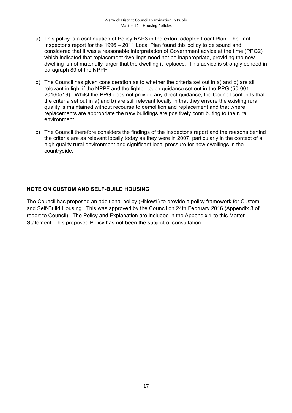- a) This policy is a continuation of Policy RAP3 in the extant adopted Local Plan. The final Inspector's report for the 1996 – 2011 Local Plan found this policy to be sound and considered that it was a reasonable interpretation of Government advice at the time (PPG2) which indicated that replacement dwellings need not be inappropriate, providing the new dwelling is not materially larger that the dwelling it replaces. This advice is strongly echoed in paragraph 89 of the NPPF.
- b) The Council has given consideration as to whether the criteria set out in a) and b) are still relevant in light if the NPPF and the lighter-touch guidance set out in the PPG (50-001- 20160519). Whilst the PPG does not provide any direct guidance, the Council contends that the criteria set out in a) and b) are still relevant locally in that they ensure the existing rural quality is maintained without recourse to demolition and replacement and that where replacements are appropriate the new buildings are positively contributing to the rural environment.
- c) The Council therefore considers the findings of the Inspector's report and the reasons behind the criteria are as relevant locally today as they were in 2007, particularly in the context of a high quality rural environment and significant local pressure for new dwellings in the countryside.

#### **NOTE ON CUSTOM AND SELF-BUILD HOUSING**

The Council has proposed an additional policy (HNew1) to provide a policy framework for Custom and Self-Build Housing. This was approved by the Council on 24th February 2016 (Appendix 3 of report to Council). The Policy and Explanation are included in the Appendix 1 to this Matter Statement. This proposed Policy has not been the subject of consultation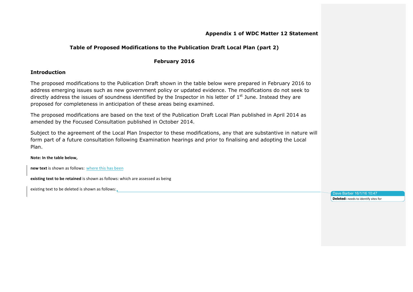#### **Appendix 1 of WDC Matter 12 Statement**

#### **Table of Proposed Modifications to the Publication Draft Local Plan (part 2)**

#### **February 2016**

#### **Introduction**

The proposed modifications to the Publication Draft shown in the table below were prepared in February 2016 to address emerging issues such as new government policy or updated evidence. The modifications do not seek to directly address the issues of soundness identified by the Inspector in his letter of  $1<sup>st</sup>$  June. Instead they are proposed for completeness in anticipation of these areas being examined.

The proposed modifications are based on the text of the Publication Draft Local Plan published in April 2014 as amended by the Focused Consultation published in October 2014.

Subject to the agreement of the Local Plan Inspector to these modifications, any that are substantive in nature will form part of a future consultation following Examination hearings and prior to finalising and adopting the Local Plan.

#### **Note: In the table below,**

**new text** is shown as follows: where this has been

**existing text to be retained** is shown as follows: which are assessed as being

existing text to be deleted is shown as follows:

Dave Barber 16/1/16 10:47 **Deleted:** needs to identify sites for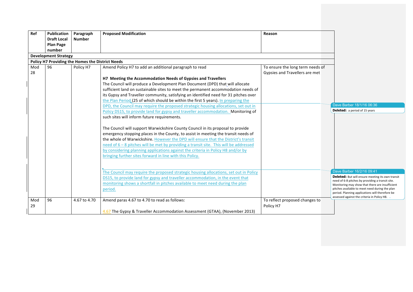| Ref       | <b>Publication</b>          | Paragraph                                        | <b>Proposed Modification</b>                                                            | Reason                           |                                                                                                     |
|-----------|-----------------------------|--------------------------------------------------|-----------------------------------------------------------------------------------------|----------------------------------|-----------------------------------------------------------------------------------------------------|
|           | <b>Draft Local</b>          | <b>Number</b>                                    |                                                                                         |                                  |                                                                                                     |
|           | <b>Plan Page</b>            |                                                  |                                                                                         |                                  |                                                                                                     |
|           | number                      |                                                  |                                                                                         |                                  |                                                                                                     |
|           | <b>Development Strategy</b> |                                                  |                                                                                         |                                  |                                                                                                     |
|           |                             | Policy H7 Providing the Homes the District Needs |                                                                                         |                                  |                                                                                                     |
| Mod<br>28 | 96                          | Policy H7                                        | Amend Policy H7 to add an additional paragraph to read                                  | To ensure the long term needs of |                                                                                                     |
|           |                             |                                                  | H7 Meeting the Accommodation Needs of Gypsies and Travellers                            | Gypsies and Travellers are met   |                                                                                                     |
|           |                             |                                                  | The Council will produce a Development Plan Document (DPD) that will allocate           |                                  |                                                                                                     |
|           |                             |                                                  | sufficient land on sustainable sites to meet the permanent accommodation needs of       |                                  |                                                                                                     |
|           |                             |                                                  | its Gypsy and Traveller community, satisfying an identified need for 31 pitches over    |                                  |                                                                                                     |
|           |                             |                                                  | the Plan Period (25 of which should be within the first 5 years). In preparing the      |                                  |                                                                                                     |
|           |                             |                                                  | DPD, the Council may require the proposed strategic housing allocations, set out in     |                                  | Dave Barber 18/1/16 06:36                                                                           |
|           |                             |                                                  | Policy DS15, to provide land for gypsy and traveller accommodation. Monitoring of       |                                  | <b>Deleted:</b> a period of 15 years                                                                |
|           |                             |                                                  | such sites will inform future requirements.                                             |                                  |                                                                                                     |
|           |                             |                                                  |                                                                                         |                                  |                                                                                                     |
|           |                             |                                                  | The Council will support Warwickshire County Council in its proposal to provide         |                                  |                                                                                                     |
|           |                             |                                                  | emergency stopping places in the County, to assist in meeting the transit needs of      |                                  |                                                                                                     |
|           |                             |                                                  | the whole of Warwickshire. However the DPD will ensure that the District's transit      |                                  |                                                                                                     |
|           |                             |                                                  | need of $6 - 8$ pitches will be met by providing a transit site. This will be addressed |                                  |                                                                                                     |
|           |                             |                                                  | by considering planning applications against the criteria in Policy H8 and/or by        |                                  |                                                                                                     |
|           |                             |                                                  | bringing further sites forward in line with this Policy.                                |                                  |                                                                                                     |
|           |                             |                                                  |                                                                                         |                                  |                                                                                                     |
|           |                             |                                                  |                                                                                         |                                  |                                                                                                     |
|           |                             |                                                  | The Council may require the proposed strategic housing allocations, set out in Policy   |                                  | Dave Barber 16/2/16 09:41                                                                           |
|           |                             |                                                  | DS15, to provide land for gypsy and traveller accommodation, in the event that          |                                  | Deleted: But will ensure meeting its own transit                                                    |
|           |                             |                                                  | monitoring shows a shortfall in pitches available to meet need during the plan          |                                  | need of 6-8 pitches by providing a transit site.<br>Monitoring may show that there are insufficient |
|           |                             |                                                  | period.                                                                                 |                                  | pitches available to meet need during the plan                                                      |
|           |                             |                                                  |                                                                                         |                                  | period. Planning applications will therefore be                                                     |
| Mod       | 96                          | 4.67 to 4.70                                     | Amend paras 4.67 to 4.70 to read as follows:                                            | To reflect proposed changes to   | assessed against the criteria in Policy H8.                                                         |
| 29        |                             |                                                  |                                                                                         | Policy H7                        |                                                                                                     |
|           |                             |                                                  | 4.67 The Gypsy & Traveller Accommodation Assessment (GTAA), (November 2013)             |                                  |                                                                                                     |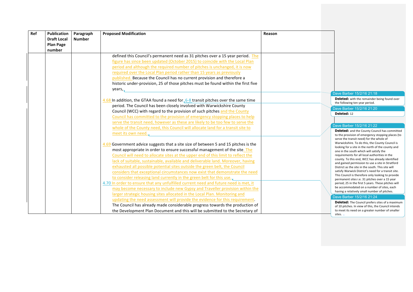| Ref | <b>Publication</b><br><b>Draft Local</b><br><b>Plan Page</b> | Paragraph<br><b>Number</b> | <b>Proposed Modification</b>                                                                                                                                                                                                                                                                                                                                                                                                                                                                                                                                                                                                                                            | Reason |                                                                                                                                                                                                                                                                                                                                                                                                                                                                                                                                                                                                                                 |  |
|-----|--------------------------------------------------------------|----------------------------|-------------------------------------------------------------------------------------------------------------------------------------------------------------------------------------------------------------------------------------------------------------------------------------------------------------------------------------------------------------------------------------------------------------------------------------------------------------------------------------------------------------------------------------------------------------------------------------------------------------------------------------------------------------------------|--------|---------------------------------------------------------------------------------------------------------------------------------------------------------------------------------------------------------------------------------------------------------------------------------------------------------------------------------------------------------------------------------------------------------------------------------------------------------------------------------------------------------------------------------------------------------------------------------------------------------------------------------|--|
|     | number                                                       |                            |                                                                                                                                                                                                                                                                                                                                                                                                                                                                                                                                                                                                                                                                         |        |                                                                                                                                                                                                                                                                                                                                                                                                                                                                                                                                                                                                                                 |  |
|     |                                                              |                            | defined this Council's permanent need as 31 pitches over a 15 year period. The<br>figure has since been updated (October 2015) to coincide with the Local Plan<br>period and although the required number of pitches is unchanged, it is now<br>required over the Local Plan period rather than 15 years as previously<br>published. Because the Council has no current provision and therefore a<br>historic under-provision, 25 of those pitches must be found within the first five<br>years,                                                                                                                                                                        |        |                                                                                                                                                                                                                                                                                                                                                                                                                                                                                                                                                                                                                                 |  |
|     |                                                              |                            |                                                                                                                                                                                                                                                                                                                                                                                                                                                                                                                                                                                                                                                                         |        | Dave Barber 15/2/16 21:18                                                                                                                                                                                                                                                                                                                                                                                                                                                                                                                                                                                                       |  |
|     |                                                              |                            | 4.68 In addition, the GTAA found a need for $6-8$ transit pitches over the same time                                                                                                                                                                                                                                                                                                                                                                                                                                                                                                                                                                                    |        | <b>Deleted:</b> with the remainder being found over<br>the following ten year period.                                                                                                                                                                                                                                                                                                                                                                                                                                                                                                                                           |  |
|     |                                                              |                            | period. The Council has been closely involved with Warwickshire County                                                                                                                                                                                                                                                                                                                                                                                                                                                                                                                                                                                                  |        | Dave Barber 15/2/16 21:20                                                                                                                                                                                                                                                                                                                                                                                                                                                                                                                                                                                                       |  |
|     |                                                              |                            | Council (WCC) with regard to the provision of such pitches and the County                                                                                                                                                                                                                                                                                                                                                                                                                                                                                                                                                                                               |        | <b>Deleted: 12</b>                                                                                                                                                                                                                                                                                                                                                                                                                                                                                                                                                                                                              |  |
|     |                                                              |                            | Council has committed to the provision of emergency stopping places to help<br>serve the transit need, however as these are likely to be too few to serve the                                                                                                                                                                                                                                                                                                                                                                                                                                                                                                           |        |                                                                                                                                                                                                                                                                                                                                                                                                                                                                                                                                                                                                                                 |  |
|     |                                                              |                            | whole of the County need, this Council will allocate land for a transit site to                                                                                                                                                                                                                                                                                                                                                                                                                                                                                                                                                                                         |        | Dave Barber 15/2/16 21:22                                                                                                                                                                                                                                                                                                                                                                                                                                                                                                                                                                                                       |  |
|     |                                                              |                            | meet its own need.                                                                                                                                                                                                                                                                                                                                                                                                                                                                                                                                                                                                                                                      |        | Deleted: and the County Council has committed<br>to the provision of emergency stopping places (to<br>serve the transit need) for the whole of                                                                                                                                                                                                                                                                                                                                                                                                                                                                                  |  |
|     |                                                              |                            | 4.69 Government advice suggests that a site size of between 5 and 15 pitches is the<br>most appropriate in order to ensure successful management of the site. The<br>Council will need to allocate sites at the upper end of this limit to reflect the<br>lack of suitable, sustainable, available and deliverable land. Moreover, having<br>exhausted all possible potential sites outside the green belt, the Council<br>considers that exceptional circumstances now exist that demonstrate the need<br>to consider releasing land currently in the green belt for this use.<br>4.70 In order to ensure that any unfulfilled current need and future need is met, it |        | Warwickshire. To do this, the County Council is<br>looking for a site in the north of the county and<br>one in the south which will satisfy the<br>requirements for all local authorities in the<br>county. To this end, WCC has already identified<br>and gained permission to use a site in Stratford<br>District as the site in the south. This site will<br>satisfy Warwick District's need for a transit site.<br>This Council is therefore only looking to provide<br>permanent sites i.e. 31 pitches over a 15 year<br>period; 25 in the first 5 years. These pitches will<br>be accommodated on a number of sites, each |  |
|     |                                                              |                            | may become necessary to include new Gypsy and Traveller provision within the<br>larger strategic housing sites allocated in the Local Plan. Monitoring and                                                                                                                                                                                                                                                                                                                                                                                                                                                                                                              |        | having a relatively small number of pitches.                                                                                                                                                                                                                                                                                                                                                                                                                                                                                                                                                                                    |  |
|     |                                                              |                            | updating the need assessment will provide the evidence for this requirement.                                                                                                                                                                                                                                                                                                                                                                                                                                                                                                                                                                                            |        | Dave Barber 15/2/16 21:24                                                                                                                                                                                                                                                                                                                                                                                                                                                                                                                                                                                                       |  |
|     |                                                              |                            | The Council has already made considerable progress towards the production of<br>the Development Plan Document and this will be submitted to the Secretary of                                                                                                                                                                                                                                                                                                                                                                                                                                                                                                            |        | <b>Deleted:</b> The Council prefers sites of a maximum<br>of 10 pitches. In view of this, the Council intends<br>to meet its need on a greater number of smaller<br>sites.                                                                                                                                                                                                                                                                                                                                                                                                                                                      |  |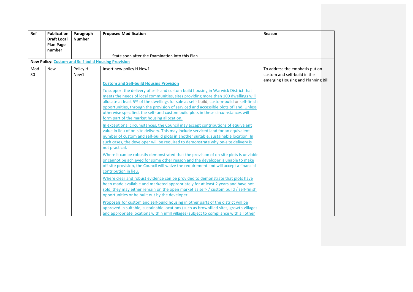| Ref | <b>Publication</b><br><b>Draft Local</b> | Paragraph<br><b>Number</b> | <b>Proposed Modification</b>                                                                                                                                              | Reason                             |  |
|-----|------------------------------------------|----------------------------|---------------------------------------------------------------------------------------------------------------------------------------------------------------------------|------------------------------------|--|
|     | <b>Plan Page</b>                         |                            |                                                                                                                                                                           |                                    |  |
|     | number                                   |                            |                                                                                                                                                                           |                                    |  |
|     |                                          |                            | State soon after the Examination into this Plan                                                                                                                           |                                    |  |
|     |                                          |                            | <b>New Policy: Custom and Self-build Housing Provision</b>                                                                                                                |                                    |  |
| Mod | <b>New</b>                               | Policy H                   | Insert new policy H New1                                                                                                                                                  | To address the emphasis put on     |  |
| 30  |                                          | New1                       |                                                                                                                                                                           | custom and self-build in the       |  |
|     |                                          |                            | <b>Custom and Self-build Housing Provision</b>                                                                                                                            | emerging Housing and Planning Bill |  |
|     |                                          |                            | To support the delivery of self- and custom build housing in Warwick District that                                                                                        |                                    |  |
|     |                                          |                            | meets the needs of local communities, sites providing more than 100 dwellings will                                                                                        |                                    |  |
|     |                                          |                            | allocate at least 5% of the dwellings for sale as self- build, custom-build or self-finish                                                                                |                                    |  |
|     |                                          |                            | opportunities, through the provision of serviced and accessible plots of land. Unless                                                                                     |                                    |  |
|     |                                          |                            | otherwise specified, the self- and custom build plots in these circumstances will                                                                                         |                                    |  |
|     |                                          |                            | form part of the market housing allocation.                                                                                                                               |                                    |  |
|     |                                          |                            | In exceptional circumstances, the Council may accept contributions of equivalent                                                                                          |                                    |  |
|     |                                          |                            | value in lieu of on-site delivery. This may include serviced land for an equivalent                                                                                       |                                    |  |
|     |                                          |                            | number of custom and self-build plots in another suitable, sustainable location. In                                                                                       |                                    |  |
|     |                                          |                            | such cases, the developer will be required to demonstrate why on-site delivery is<br>not practical.                                                                       |                                    |  |
|     |                                          |                            |                                                                                                                                                                           |                                    |  |
|     |                                          |                            | Where it can be robustly demonstrated that the provision of on-site plots is unviable                                                                                     |                                    |  |
|     |                                          |                            | or cannot be achieved for some other reason and the developer is unable to make<br>off-site provision, the Council will waive the requirement and will accept a financial |                                    |  |
|     |                                          |                            | contribution in lieu.                                                                                                                                                     |                                    |  |
|     |                                          |                            | Where clear and robust evidence can be provided to demonstrate that plots have                                                                                            |                                    |  |
|     |                                          |                            | been made available and marketed appropriately for at least 2 years and have not                                                                                          |                                    |  |
|     |                                          |                            | sold, they may either remain on the open market as self- / custom build / self-finish                                                                                     |                                    |  |
|     |                                          |                            | opportunities or be built out by the developer.                                                                                                                           |                                    |  |
|     |                                          |                            | Proposals for custom and self-build housing in other parts of the district will be                                                                                        |                                    |  |
|     |                                          |                            | approved in suitable, sustainable locations (such as brownfiled sites, growth villages                                                                                    |                                    |  |
|     |                                          |                            | and appropriate locations within infill villages) subject to compliance with all other                                                                                    |                                    |  |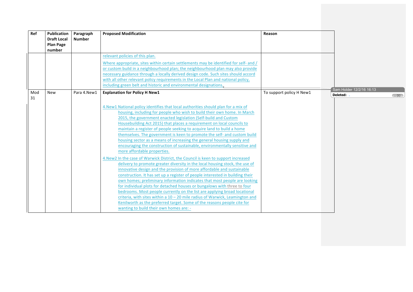| Ref       | <b>Publication</b><br><b>Draft Local</b><br><b>Plan Page</b><br>number | Paragraph<br><b>Number</b> | <b>Proposed Modification</b>                                                                                                                                                                                                                                                                                                                                                                                                                                                                                                                                                                                                                                                                                                                                                                                                                                                                                                                                                                                                                                                                                                                                                                                                                                                                                                                                                                                                                                                   | Reason                   |                                                |
|-----------|------------------------------------------------------------------------|----------------------------|--------------------------------------------------------------------------------------------------------------------------------------------------------------------------------------------------------------------------------------------------------------------------------------------------------------------------------------------------------------------------------------------------------------------------------------------------------------------------------------------------------------------------------------------------------------------------------------------------------------------------------------------------------------------------------------------------------------------------------------------------------------------------------------------------------------------------------------------------------------------------------------------------------------------------------------------------------------------------------------------------------------------------------------------------------------------------------------------------------------------------------------------------------------------------------------------------------------------------------------------------------------------------------------------------------------------------------------------------------------------------------------------------------------------------------------------------------------------------------|--------------------------|------------------------------------------------|
|           |                                                                        |                            | relevant policies of this plan.<br>Where appropriate, sites within certain settlements may be identified for self- and /<br>or custom build in a neighbourhood plan; the neighbourhood plan may also provide<br>necessary guidance through a locally derived design code. Such sites should accord<br>with all other relevant policy requirements in the Local Plan and national policy,<br>including green belt and historic and environmental designations.                                                                                                                                                                                                                                                                                                                                                                                                                                                                                                                                                                                                                                                                                                                                                                                                                                                                                                                                                                                                                  |                          | Sam Holder 12/2/16 16:13                       |
| Mod<br>31 | <b>New</b>                                                             | Para 4.New1                | <b>Explanation for Policy H New1</b><br>4. New1 National policy identifies that local authorities should plan for a mix of<br>housing, including for people who wish to build their own home. In March<br>2015, the government enacted legislation (Self-build and Custom<br>Housebuilding Act 2015) that places a requirement on local councils to<br>maintain a register of people seeking to acquire land to build a home<br>themselves. The government is keen to promote the self- and custom build<br>housing sector as a means of increasing the general housing supply and<br>encouraging the construction of sustainable, environmentally sensitive and<br>more affordable properties.<br>4. New 2 In the case of Warwick District, the Council is keen to support increased<br>delivery to promote greater diversity in the local housing stock, the use of<br>innovative design and the provision of more affordable and sustainable<br>construction. It has set up a register of people interested in building their<br>own homes; preliminary information indicates that most people are looking<br>for individual plots for detached houses or bungalows with three to four<br>bedrooms. Most people currently on the list are applying broad locational<br>criteria, with sites within a $10 - 20$ mile radius of Warwick, Leamington and<br>Kenilworth as the preferred target. Some of the reasons people cite for<br>wanting to build their own homes are: - | To support policy H New1 | Deleted: .<br>$\left( \left[ 1\right] \right)$ |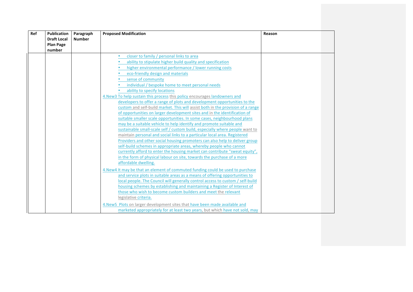| Ref | Publication        | Paragraph     | <b>Proposed Modification</b>                                                     | Reason |  |
|-----|--------------------|---------------|----------------------------------------------------------------------------------|--------|--|
|     | <b>Draft Local</b> | <b>Number</b> |                                                                                  |        |  |
|     | <b>Plan Page</b>   |               |                                                                                  |        |  |
|     | number             |               |                                                                                  |        |  |
|     |                    |               | closer to family / personal links to area<br>$\bullet$                           |        |  |
|     |                    |               | ability to stipulate higher build quality and specification                      |        |  |
|     |                    |               | higher environmental performance / lower running costs                           |        |  |
|     |                    |               | eco-friendly design and materials                                                |        |  |
|     |                    |               | sense of community                                                               |        |  |
|     |                    |               | individual / bespoke home to meet personal needs                                 |        |  |
|     |                    |               | ability to specify locations                                                     |        |  |
|     |                    |               | 4. New 3 To help sustain this process this policy encourages landowners and      |        |  |
|     |                    |               | developers to offer a range of plots and development opportunities to the        |        |  |
|     |                    |               | custom and self-build market. This will assist both in the provision of a range  |        |  |
|     |                    |               | of opportunities on larger development sites and in the identification of        |        |  |
|     |                    |               | suitable smaller scale opportunities. In some cases, neighbourhood plans         |        |  |
|     |                    |               | may be a suitable vehicle to help identify and promote suitable and              |        |  |
|     |                    |               | sustainable small-scale self / custom build, especially where people want to     |        |  |
|     |                    |               | maintain personal and social links to a particular local area. Registered        |        |  |
|     |                    |               | Providers and other social housing promoters can also help to deliver group      |        |  |
|     |                    |               | self-build schemes in appropriate areas, whereby people who cannot               |        |  |
|     |                    |               | currently afford to enter the housing market can contribute "sweat equity",      |        |  |
|     |                    |               | in the form of physical labour on site, towards the purchase of a more           |        |  |
|     |                    |               | affordable dwelling.                                                             |        |  |
|     |                    |               | 4. New 4 It may be that an element of commuted funding could be used to purchase |        |  |
|     |                    |               | and service plots in suitable areas as a means of offering opportunities to      |        |  |
|     |                    |               | local people. The Council will generally control access to custom / self-build   |        |  |
|     |                    |               | housing schemes by establishing and maintaining a Register of Interest of        |        |  |
|     |                    |               | those who wish to become custom builders and meet the relevant                   |        |  |
|     |                    |               | legislative criteria.                                                            |        |  |
|     |                    |               | 4. New 5 Plots on larger development sites that have been made available and     |        |  |
|     |                    |               | marketed appropriately for at least two years, but which have not sold, may      |        |  |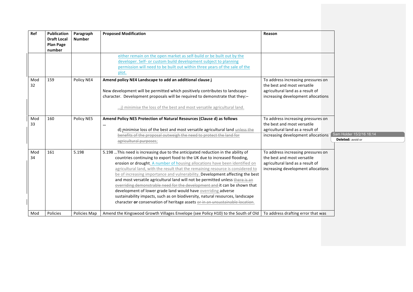| Ref       | Publication<br><b>Draft Local</b><br><b>Plan Page</b><br>number | Paragraph<br><b>Number</b> | <b>Proposed Modification</b>                                                                                                                                                                                                                                                                                                                                                                                                                                                                                                                                                                                                                                                                                                                                                                                      | Reason                                                                                                                                      |                                               |
|-----------|-----------------------------------------------------------------|----------------------------|-------------------------------------------------------------------------------------------------------------------------------------------------------------------------------------------------------------------------------------------------------------------------------------------------------------------------------------------------------------------------------------------------------------------------------------------------------------------------------------------------------------------------------------------------------------------------------------------------------------------------------------------------------------------------------------------------------------------------------------------------------------------------------------------------------------------|---------------------------------------------------------------------------------------------------------------------------------------------|-----------------------------------------------|
|           |                                                                 |                            | either remain on the open market as self-build or be built out by the<br>developer. Self- or custom build development subject to planning<br>permission will need to be built out within three years of the sale of the<br>plot.                                                                                                                                                                                                                                                                                                                                                                                                                                                                                                                                                                                  |                                                                                                                                             |                                               |
| Mod<br>32 | 159                                                             | Policy NE4                 | Amend policy NE4 Landscape to add an additional clause j<br>New development will be permitted which positively contributes to landscape<br>character. Development proposals will be required to demonstrate that they:-<br>j) minimise the loss of the best and most versatile agricultural land.                                                                                                                                                                                                                                                                                                                                                                                                                                                                                                                 | To address increasing pressures on<br>the best and most versatile<br>agricultural land as a result of<br>increasing development allocations |                                               |
| Mod<br>33 | 160                                                             | Policy NE5                 | Amend Policy NE5 Protection of Natural Resources (Clause d) as follows<br><br>d) minimise loss of the best and most versatile agricultural land unless the<br>benefits of the proposal outweigh the need to protect the land for<br>agricultural purposes;                                                                                                                                                                                                                                                                                                                                                                                                                                                                                                                                                        | To address increasing pressures on<br>the best and most versatile<br>agricultural land as a result of<br>increasing development allocations | Sam Holder 15/2/16 16:14<br>Deleted: avoid or |
| Mod<br>34 | 161                                                             | 5.198                      | 5.198  This need is increasing due to the anticipated reduction in the ability of<br>countries continuing to export food to the UK due to increased flooding,<br>erosion or drought. A number of housing allocations have been identified on<br>agricultural land, with the result that the remaining resource is considered to<br>be of increasing importance and vulnerability. Development affecting the best<br>and most versatile agricultural land will not be permitted unless there is an<br>overriding demonstrable need for the development and it can be shown that<br>development of lower grade land would have overriding adverse<br>sustainability impacts, such as on biodiversity, natural resources, landscape<br>character or conservation of heritage assets or in an unsustainable location. | To address increasing pressures on<br>the best and most versatile<br>agricultural land as a result of<br>increasing development allocations |                                               |
| Mod       | Policies                                                        | Policies Map               | Amend the Kingswood Growth Villages Envelope (see Policy H10) to the South of Old                                                                                                                                                                                                                                                                                                                                                                                                                                                                                                                                                                                                                                                                                                                                 | To address drafting error that was                                                                                                          |                                               |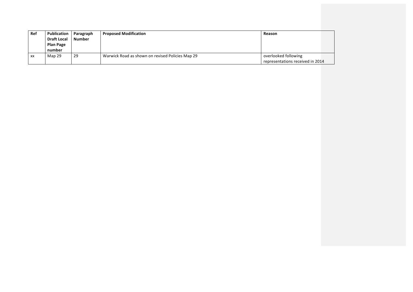| Ref | Publication        | Paragraph     | <b>Proposed Modification</b>                     | Reason                           |  |
|-----|--------------------|---------------|--------------------------------------------------|----------------------------------|--|
|     | <b>Draft Local</b> | <b>Number</b> |                                                  |                                  |  |
|     | <b>Plan Page</b>   |               |                                                  |                                  |  |
|     | number             |               |                                                  |                                  |  |
| XX  | Map 29             | 29            | Warwick Road as shown on revised Policies Map 29 | overlooked following             |  |
|     |                    |               |                                                  | representations received in 2014 |  |